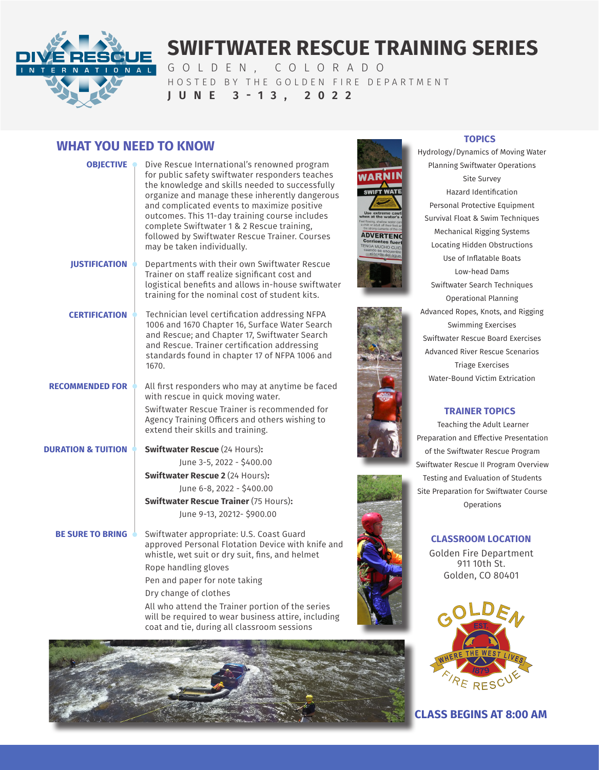

# **SWIFTWATER RESCUE TRAINING SERIES**

GOLDEN, COLORADO HOSTED BY THE GOLDEN FIRE DEPARTMENT **JUNE 3-13, 2022**

# **WHAT YOU NEED TO KNOW WHAT YOU NEED TO KNOW TOPICS**

| <b>OBJECTIVE OF</b>           | Dive Rescue International's renowned program<br>for public safety swiftwater responders teaches<br>the knowledge and skills needed to successfully<br>organize and manage these inherently dangerous<br>and complicated events to maximize positive<br>outcomes. This 11-day training course includes<br>complete Swiftwater 1 & 2 Rescue training,<br>followed by Swiftwater Rescue Trainer. Courses<br>may be taken individually. | W L<br><b>SW</b><br><b>AD</b><br>Cor<br>TENG |  |
|-------------------------------|-------------------------------------------------------------------------------------------------------------------------------------------------------------------------------------------------------------------------------------------------------------------------------------------------------------------------------------------------------------------------------------------------------------------------------------|----------------------------------------------|--|
| <b>JUSTIFICATION</b>          | Departments with their own Swiftwater Rescue<br>Trainer on staff realize significant cost and<br>logistical benefits and allows in-house swiftwater<br>training for the nominal cost of student kits.                                                                                                                                                                                                                               |                                              |  |
| <b>CERTIFICATION</b>          | Technician level certification addressing NFPA<br>1006 and 1670 Chapter 16, Surface Water Search<br>and Rescue; and Chapter 17, Swiftwater Search<br>and Rescue. Trainer certification addressing<br>standards found in chapter 17 of NFPA 1006 and<br>1670.                                                                                                                                                                        |                                              |  |
| <b>RECOMMENDED FOR •</b>      | All first responders who may at anytime be faced<br>with rescue in quick moving water.<br>Swiftwater Rescue Trainer is recommended for<br>Agency Training Officers and others wishing to<br>extend their skills and training.                                                                                                                                                                                                       |                                              |  |
| <b>DURATION &amp; TUITION</b> | <b>Swiftwater Rescue (24 Hours):</b>                                                                                                                                                                                                                                                                                                                                                                                                |                                              |  |
|                               | June 3-5, 2022 - \$400.00                                                                                                                                                                                                                                                                                                                                                                                                           |                                              |  |
|                               | <b>Swiftwater Rescue 2 (24 Hours):</b>                                                                                                                                                                                                                                                                                                                                                                                              |                                              |  |
|                               | June 6-8, 2022 - \$400.00                                                                                                                                                                                                                                                                                                                                                                                                           |                                              |  |
|                               | <b>Swiftwater Rescue Trainer (75 Hours):</b>                                                                                                                                                                                                                                                                                                                                                                                        |                                              |  |
|                               | June 9-13, 20212- \$900.00                                                                                                                                                                                                                                                                                                                                                                                                          |                                              |  |
| <b>BE SURE TO BRING</b>       | Swiftwater appropriate: U.S. Coast Guard<br>approved Personal Flotation Device with knife and<br>whistle, wet suit or dry suit, fins, and helmet                                                                                                                                                                                                                                                                                    |                                              |  |
|                               | Rope handling gloves                                                                                                                                                                                                                                                                                                                                                                                                                |                                              |  |
|                               | Pen and paper for note taking                                                                                                                                                                                                                                                                                                                                                                                                       |                                              |  |
|                               | Dry change of clothes                                                                                                                                                                                                                                                                                                                                                                                                               |                                              |  |
|                               | All who attend the Trainer portion of the series<br>will be required to wear business attire, including<br>coat and tie, during all classroom sessions                                                                                                                                                                                                                                                                              |                                              |  |



Hydrology/Dynamics of Moving Water Planning Swiftwater Operations Site Survey Hazard Identification Personal Protective Equipment Survival Float & Swim Techniques Mechanical Rigging Systems Locating Hidden Obstructions Use of Inflatable Boats Low-head Dams Swiftwater Search Techniques Operational Planning Advanced Ropes, Knots, and Rigging Swimming Exercises Swiftwater Rescue Board Exercises Advanced River Rescue Scenarios Triage Exercises Water-Bound Victim Extrication

# **TRAINER TOPICS**

Teaching the Adult Learner Preparation and Effective Presentation of the Swiftwater Rescue Program Swiftwater Rescue II Program Overview Testing and Evaluation of Students Site Preparation for Swiftwater Course Operations

## **CLASSROOM LOCATION**

Golden Fire Department 911 10th St. Golden, CO 80401



**CLASS BEGINS AT 8:00 AM**